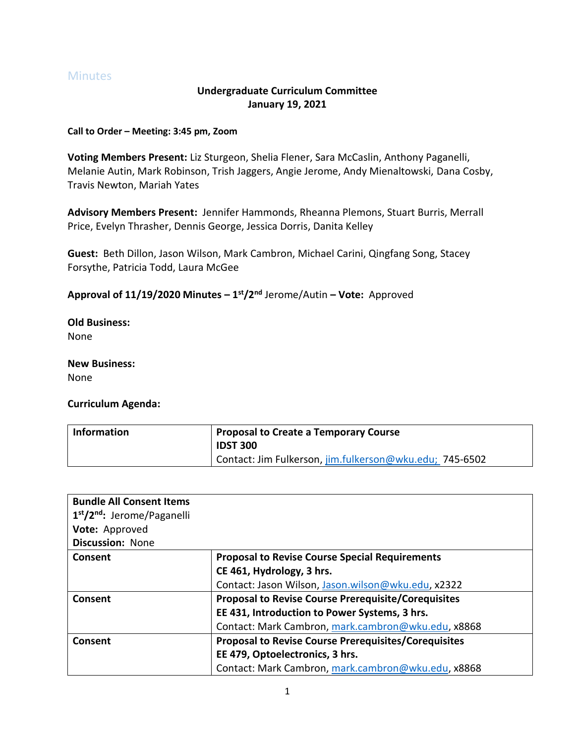## Minutes

### **Undergraduate Curriculum Committee January 19, 2021**

#### **Call to Order – Meeting: 3:45 pm, Zoom**

**Voting Members Present:** Liz Sturgeon, Shelia Flener, Sara McCaslin, Anthony Paganelli, Melanie Autin, Mark Robinson, Trish Jaggers, Angie Jerome, Andy Mienaltowski, Dana Cosby, Travis Newton, Mariah Yates

**Advisory Members Present:** Jennifer Hammonds, Rheanna Plemons, Stuart Burris, Merrall Price, Evelyn Thrasher, Dennis George, Jessica Dorris, Danita Kelley

**Guest:** Beth Dillon, Jason Wilson, Mark Cambron, Michael Carini, Qingfang Song, Stacey Forsythe, Patricia Todd, Laura McGee

**Approval of 11/19/2020 Minutes – 1 st/2 nd** Jerome/Autin **– Vote:** Approved

**Old Business:** None

#### **New Business:**  None

#### **Curriculum Agenda:**

| Information | Proposal to Create a Temporary Course<br><b>IDST 300</b> |
|-------------|----------------------------------------------------------|
|             | Contact: Jim Fulkerson, jim.fulkerson@wku.edu; 745-6502  |

| <b>Bundle All Consent Items</b><br>$1st/2nd$ : Jerome/Paganelli |                                                             |
|-----------------------------------------------------------------|-------------------------------------------------------------|
| Vote: Approved                                                  |                                                             |
| Discussion: None                                                |                                                             |
| Consent                                                         | <b>Proposal to Revise Course Special Requirements</b>       |
|                                                                 | CE 461, Hydrology, 3 hrs.                                   |
|                                                                 | Contact: Jason Wilson, Jason.wilson@wku.edu, x2322          |
| Consent                                                         | <b>Proposal to Revise Course Prerequisite/Corequisites</b>  |
|                                                                 | EE 431, Introduction to Power Systems, 3 hrs.               |
|                                                                 | Contact: Mark Cambron, mark.cambron@wku.edu, x8868          |
| Consent                                                         | <b>Proposal to Revise Course Prerequisites/Corequisites</b> |
|                                                                 | EE 479, Optoelectronics, 3 hrs.                             |
|                                                                 | Contact: Mark Cambron, mark.cambron@wku.edu, x8868          |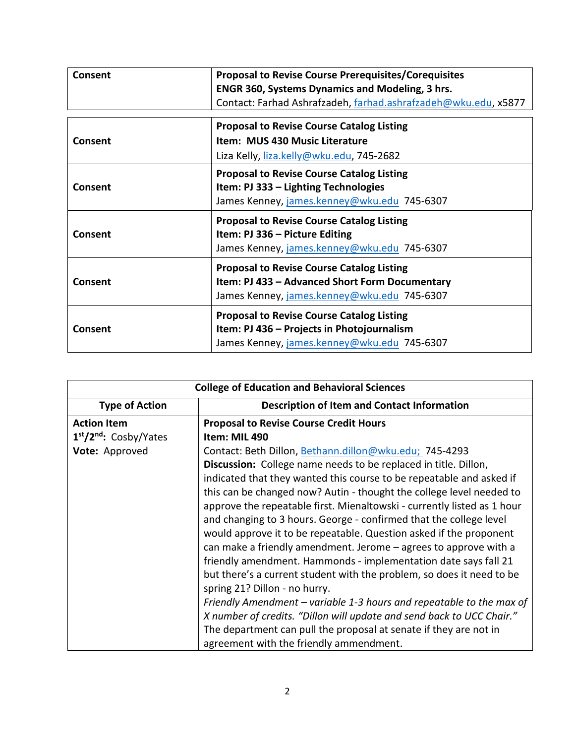| Consent | <b>Proposal to Revise Course Prerequisites/Corequisites</b><br><b>ENGR 360, Systems Dynamics and Modeling, 3 hrs.</b><br>Contact: Farhad Ashrafzadeh, farhad.ashrafzadeh@wku.edu, x5877 |
|---------|-----------------------------------------------------------------------------------------------------------------------------------------------------------------------------------------|
| Consent | <b>Proposal to Revise Course Catalog Listing</b><br>Item: MUS 430 Music Literature<br>Liza Kelly, liza.kelly@wku.edu, 745-2682                                                          |
| Consent | <b>Proposal to Revise Course Catalog Listing</b><br>Item: PJ 333 - Lighting Technologies<br>James Kenney, james.kenney@wku.edu 745-6307                                                 |
| Consent | <b>Proposal to Revise Course Catalog Listing</b><br>Item: PJ 336 - Picture Editing<br>James Kenney, james.kenney@wku.edu 745-6307                                                       |
| Consent | <b>Proposal to Revise Course Catalog Listing</b><br>Item: PJ 433 - Advanced Short Form Documentary<br>James Kenney, james.kenney@wku.edu 745-6307                                       |
| Consent | <b>Proposal to Revise Course Catalog Listing</b><br>Item: PJ 436 - Projects in Photojournalism<br>James Kenney, james.kenney@wku.edu 745-6307                                           |

| <b>College of Education and Behavioral Sciences</b> |                                                                         |
|-----------------------------------------------------|-------------------------------------------------------------------------|
| <b>Type of Action</b>                               | <b>Description of Item and Contact Information</b>                      |
| <b>Action Item</b>                                  | <b>Proposal to Revise Course Credit Hours</b>                           |
| $1st/2nd$ : Cosby/Yates                             | Item: MIL 490                                                           |
| Vote: Approved                                      | Contact: Beth Dillon, Bethann.dillon@wku.edu; 745-4293                  |
|                                                     | Discussion: College name needs to be replaced in title. Dillon,         |
|                                                     | indicated that they wanted this course to be repeatable and asked if    |
|                                                     | this can be changed now? Autin - thought the college level needed to    |
|                                                     | approve the repeatable first. Mienaltowski - currently listed as 1 hour |
|                                                     | and changing to 3 hours. George - confirmed that the college level      |
|                                                     | would approve it to be repeatable. Question asked if the proponent      |
|                                                     | can make a friendly amendment. Jerome – agrees to approve with a        |
|                                                     | friendly amendment. Hammonds - implementation date says fall 21         |
|                                                     | but there's a current student with the problem, so does it need to be   |
|                                                     | spring 21? Dillon - no hurry.                                           |
|                                                     | Friendly Amendment – variable 1-3 hours and repeatable to the max of    |
|                                                     | X number of credits. "Dillon will update and send back to UCC Chair."   |
|                                                     | The department can pull the proposal at senate if they are not in       |
|                                                     | agreement with the friendly ammendment.                                 |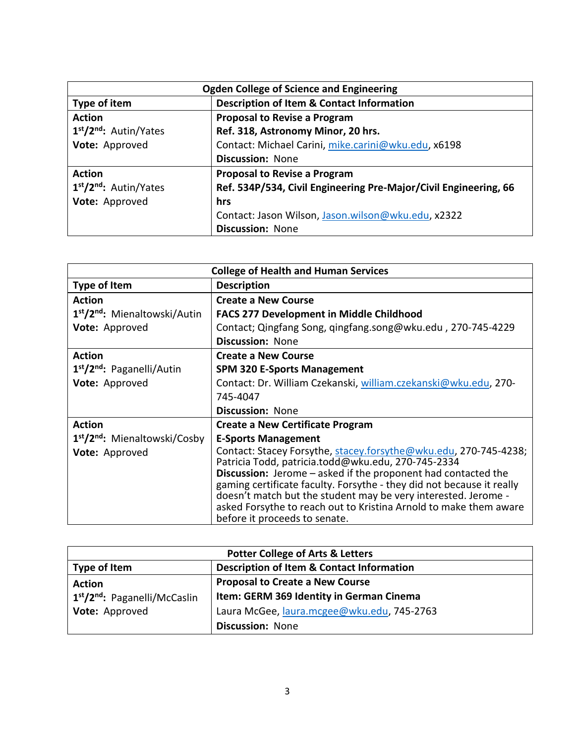| Ogden College of Science and Engineering       |                                                                  |
|------------------------------------------------|------------------------------------------------------------------|
| Type of item                                   | <b>Description of Item &amp; Contact Information</b>             |
| <b>Action</b>                                  | <b>Proposal to Revise a Program</b>                              |
| 1 <sup>st</sup> /2 <sup>nd</sup> : Autin/Yates | Ref. 318, Astronomy Minor, 20 hrs.                               |
| Vote: Approved                                 | Contact: Michael Carini, mike.carini@wku.edu, x6198              |
|                                                | <b>Discussion: None</b>                                          |
| <b>Action</b>                                  | <b>Proposal to Revise a Program</b>                              |
| 1 <sup>st</sup> /2 <sup>nd</sup> : Autin/Yates | Ref. 534P/534, Civil Engineering Pre-Major/Civil Engineering, 66 |
| Vote: Approved                                 | hrs                                                              |
|                                                | Contact: Jason Wilson, Jason.wilson@wku.edu, x2322               |
|                                                | <b>Discussion: None</b>                                          |

| <b>College of Health and Human Services</b>           |                                                                                                                                                                                                                                                                                                                |
|-------------------------------------------------------|----------------------------------------------------------------------------------------------------------------------------------------------------------------------------------------------------------------------------------------------------------------------------------------------------------------|
| <b>Type of Item</b>                                   | <b>Description</b>                                                                                                                                                                                                                                                                                             |
| <b>Action</b>                                         | <b>Create a New Course</b>                                                                                                                                                                                                                                                                                     |
| 1st/2nd: Mienaltowski/Autin                           | <b>FACS 277 Development in Middle Childhood</b>                                                                                                                                                                                                                                                                |
| Vote: Approved                                        | Contact; Qingfang Song, qingfang.song@wku.edu, 270-745-4229                                                                                                                                                                                                                                                    |
|                                                       | <b>Discussion: None</b>                                                                                                                                                                                                                                                                                        |
| <b>Action</b>                                         | <b>Create a New Course</b>                                                                                                                                                                                                                                                                                     |
| 1 <sup>st</sup> /2 <sup>nd</sup> : Paganelli/Autin    | <b>SPM 320 E-Sports Management</b>                                                                                                                                                                                                                                                                             |
| Vote: Approved                                        | Contact: Dr. William Czekanski, william.czekanski@wku.edu, 270-                                                                                                                                                                                                                                                |
|                                                       | 745-4047                                                                                                                                                                                                                                                                                                       |
|                                                       | <b>Discussion: None</b>                                                                                                                                                                                                                                                                                        |
| <b>Action</b>                                         | <b>Create a New Certificate Program</b>                                                                                                                                                                                                                                                                        |
| 1 <sup>st</sup> /2 <sup>nd</sup> : Mienaltowski/Cosby | <b>E-Sports Management</b>                                                                                                                                                                                                                                                                                     |
| Vote: Approved                                        | Contact: Stacey Forsythe, stacey.forsythe@wku.edu, 270-745-4238;<br>Patricia Todd, patricia.todd@wku.edu, 270-745-2334                                                                                                                                                                                         |
|                                                       | Discussion: Jerome - asked if the proponent had contacted the<br>gaming certificate faculty. Forsythe - they did not because it really<br>doesn't match but the student may be very interested. Jerome -<br>asked Forsythe to reach out to Kristina Arnold to make them aware<br>before it proceeds to senate. |

| <b>Potter College of Arts &amp; Letters</b>           |                                                      |
|-------------------------------------------------------|------------------------------------------------------|
| Type of Item                                          | <b>Description of Item &amp; Contact Information</b> |
| <b>Action</b>                                         | <b>Proposal to Create a New Course</b>               |
| 1 <sup>st</sup> /2 <sup>nd</sup> : Paganelli/McCaslin | Item: GERM 369 Identity in German Cinema             |
| Vote: Approved                                        | Laura McGee, laura.mcgee@wku.edu, 745-2763           |
|                                                       | <b>Discussion: None</b>                              |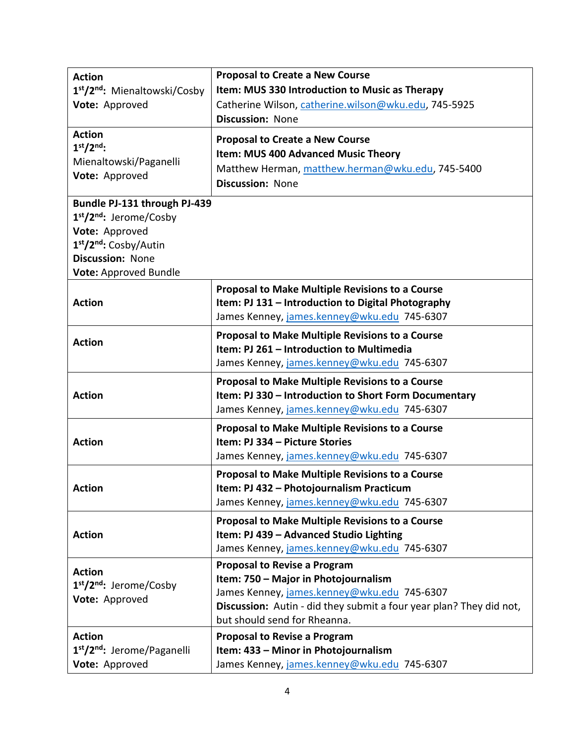| <b>Action</b>                                         | <b>Proposal to Create a New Course</b>                              |
|-------------------------------------------------------|---------------------------------------------------------------------|
| 1st/2nd: Mienaltowski/Cosby                           | Item: MUS 330 Introduction to Music as Therapy                      |
| Vote: Approved                                        | Catherine Wilson, catherine.wilson@wku.edu, 745-5925                |
|                                                       | <b>Discussion: None</b>                                             |
| <b>Action</b>                                         | <b>Proposal to Create a New Course</b>                              |
| $1st/2nd$ :                                           | Item: MUS 400 Advanced Music Theory                                 |
| Mienaltowski/Paganelli                                | Matthew Herman, matthew.herman@wku.edu, 745-5400                    |
| Vote: Approved                                        | <b>Discussion: None</b>                                             |
|                                                       |                                                                     |
| Bundle PJ-131 through PJ-439<br>1st/2nd: Jerome/Cosby |                                                                     |
| Vote: Approved                                        |                                                                     |
| 1 <sup>st</sup> /2 <sup>nd</sup> : Cosby/Autin        |                                                                     |
| <b>Discussion: None</b>                               |                                                                     |
| Vote: Approved Bundle                                 |                                                                     |
|                                                       | <b>Proposal to Make Multiple Revisions to a Course</b>              |
| <b>Action</b>                                         | Item: PJ 131 - Introduction to Digital Photography                  |
|                                                       | James Kenney, james.kenney@wku.edu 745-6307                         |
|                                                       | <b>Proposal to Make Multiple Revisions to a Course</b>              |
| <b>Action</b>                                         | Item: PJ 261 - Introduction to Multimedia                           |
|                                                       | James Kenney, james.kenney@wku.edu 745-6307                         |
|                                                       | <b>Proposal to Make Multiple Revisions to a Course</b>              |
| <b>Action</b>                                         | Item: PJ 330 - Introduction to Short Form Documentary               |
|                                                       | James Kenney, james.kenney@wku.edu 745-6307                         |
|                                                       | Proposal to Make Multiple Revisions to a Course                     |
| <b>Action</b>                                         | Item: PJ 334 - Picture Stories                                      |
|                                                       | James Kenney, james.kenney@wku.edu 745-6307                         |
|                                                       | <b>Proposal to Make Multiple Revisions to a Course</b>              |
| <b>Action</b>                                         | Item: PJ 432 - Photojournalism Practicum                            |
|                                                       | James Kenney, james.kenney@wku.edu 745-6307                         |
|                                                       | <b>Proposal to Make Multiple Revisions to a Course</b>              |
| <b>Action</b>                                         | Item: PJ 439 - Advanced Studio Lighting                             |
|                                                       | James Kenney, james.kenney@wku.edu 745-6307                         |
| <b>Action</b>                                         | <b>Proposal to Revise a Program</b>                                 |
| 1st/2nd: Jerome/Cosby                                 | Item: 750 - Major in Photojournalism                                |
| Vote: Approved                                        | James Kenney, james.kenney@wku.edu 745-6307                         |
|                                                       | Discussion: Autin - did they submit a four year plan? They did not, |
|                                                       | but should send for Rheanna.                                        |
| <b>Action</b>                                         | <b>Proposal to Revise a Program</b>                                 |
| 1st/2nd: Jerome/Paganelli                             | Item: 433 - Minor in Photojournalism                                |
| Vote: Approved                                        | James Kenney, james.kenney@wku.edu 745-6307                         |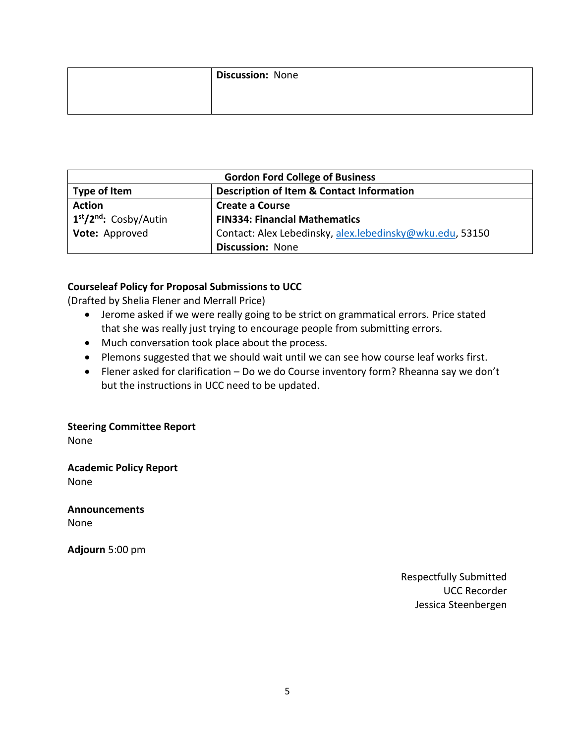| Discussion: None |
|------------------|
|                  |

| <b>Gordon Ford College of Business</b>         |                                                          |
|------------------------------------------------|----------------------------------------------------------|
| Type of Item                                   | <b>Description of Item &amp; Contact Information</b>     |
| <b>Action</b>                                  | <b>Create a Course</b>                                   |
| 1 <sup>st</sup> /2 <sup>nd</sup> : Cosby/Autin | <b>FIN334: Financial Mathematics</b>                     |
| Vote: Approved                                 | Contact: Alex Lebedinsky, alex.lebedinsky@wku.edu, 53150 |
|                                                | <b>Discussion: None</b>                                  |

#### **Courseleaf Policy for Proposal Submissions to UCC**

(Drafted by Shelia Flener and Merrall Price)

- Jerome asked if we were really going to be strict on grammatical errors. Price stated that she was really just trying to encourage people from submitting errors.
- Much conversation took place about the process.
- Plemons suggested that we should wait until we can see how course leaf works first.
- Flener asked for clarification Do we do Course inventory form? Rheanna say we don't but the instructions in UCC need to be updated.

**Steering Committee Report**

None

**Academic Policy Report**

None

**Announcements** None

**Adjourn** 5:00 pm

Respectfully Submitted UCC Recorder Jessica Steenbergen